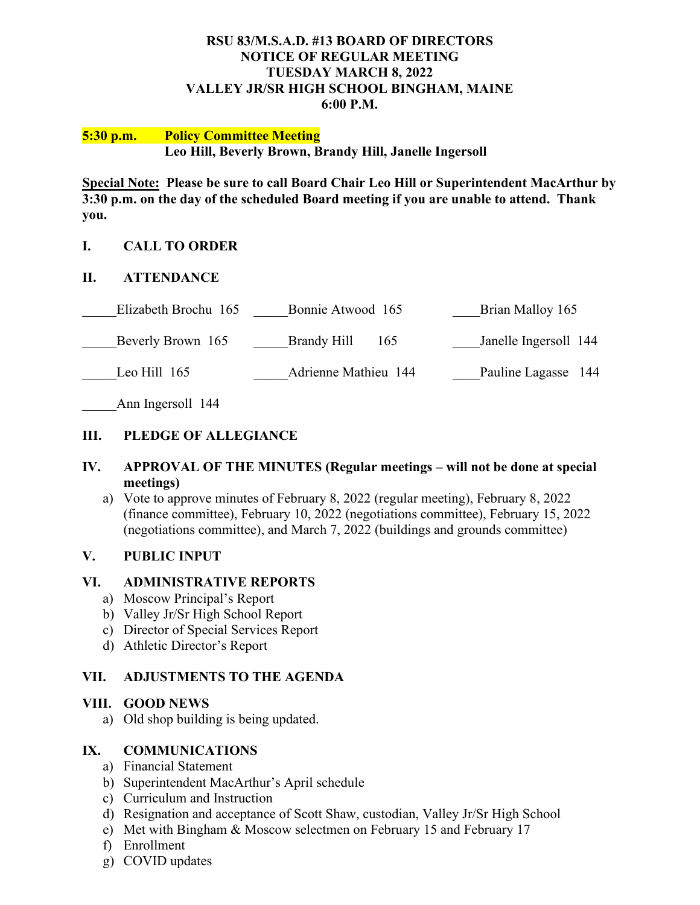#### **RSU 83/M.S.A.D. #13 BOARD OF DIRECTORS NOTICE OF REGULAR MEETING TUESDAY MARCH 8, 2022 VALLEY JR/SR HIGH SCHOOL BINGHAM, MAINE 6:00 P.M.**

#### **5:30 p.m. Policy Committee Meeting Leo Hill, Beverly Brown, Brandy Hill, Janelle Ingersoll**

**Special Note: Please be sure to call Board Chair Leo Hill or Superintendent MacArthur by 3:30 p.m. on the day of the scheduled Board meeting if you are unable to attend. Thank you.**

### **I. CALL TO ORDER**

### **II. ATTENDANCE**

| Elizabeth Brochu 165 | Bonnie Atwood 165    | Brian Malloy 165      |
|----------------------|----------------------|-----------------------|
| Beverly Brown 165    | Brandy Hill<br>165   | Janelle Ingersoll 144 |
| Leo Hill $165$       | Adrienne Mathieu 144 | Pauline Lagasse 144   |

Ann Ingersoll 144

### **III. PLEDGE OF ALLEGIANCE**

#### **IV. APPROVAL OF THE MINUTES (Regular meetings – will not be done at special meetings)**

a) Vote to approve minutes of February 8, 2022 (regular meeting), February 8, 2022 (finance committee), February 10, 2022 (negotiations committee), February 15, 2022 (negotiations committee), and March 7, 2022 (buildings and grounds committee)

### **V. PUBLIC INPUT**

### **VI. ADMINISTRATIVE REPORTS**

- a) Moscow Principal's Report
- b) Valley Jr/Sr High School Report
- c) Director of Special Services Report
- d) Athletic Director's Report

### **VII. ADJUSTMENTS TO THE AGENDA**

### **VIII. GOOD NEWS**

a) Old shop building is being updated.

### **IX. COMMUNICATIONS**

- a) Financial Statement
- b) Superintendent MacArthur's April schedule
- c) Curriculum and Instruction
- d) Resignation and acceptance of Scott Shaw, custodian, Valley Jr/Sr High School
- e) Met with Bingham & Moscow selectmen on February 15 and February 17
- f) Enrollment
- g) COVID updates